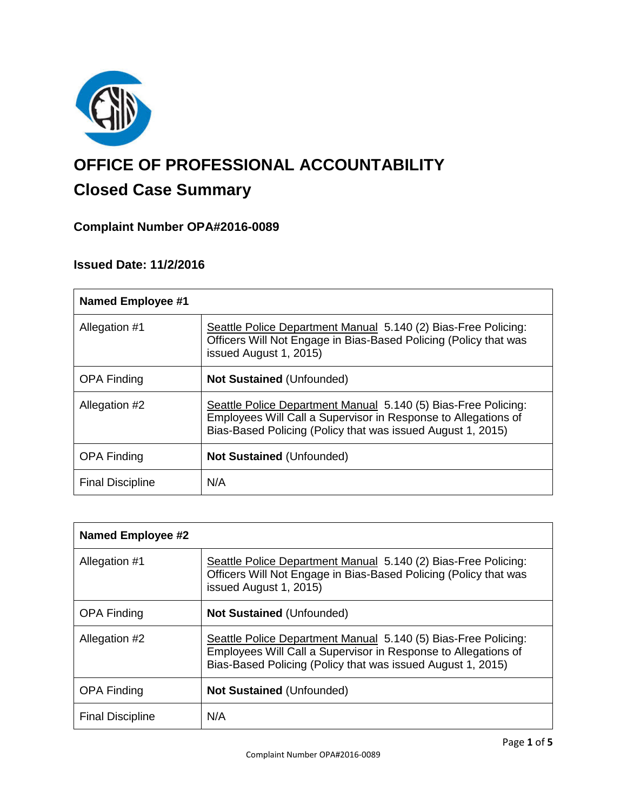

# **OFFICE OF PROFESSIONAL ACCOUNTABILITY**

## **Closed Case Summary**

## **Complaint Number OPA#2016-0089**

## **Issued Date: 11/2/2016**

| <b>Named Employee #1</b> |                                                                                                                                                                                                 |
|--------------------------|-------------------------------------------------------------------------------------------------------------------------------------------------------------------------------------------------|
| Allegation #1            | Seattle Police Department Manual 5.140 (2) Bias-Free Policing:<br>Officers Will Not Engage in Bias-Based Policing (Policy that was<br>issued August 1, 2015)                                    |
| <b>OPA Finding</b>       | <b>Not Sustained (Unfounded)</b>                                                                                                                                                                |
| Allegation #2            | Seattle Police Department Manual 5.140 (5) Bias-Free Policing:<br>Employees Will Call a Supervisor in Response to Allegations of<br>Bias-Based Policing (Policy that was issued August 1, 2015) |
| <b>OPA Finding</b>       | <b>Not Sustained (Unfounded)</b>                                                                                                                                                                |
| <b>Final Discipline</b>  | N/A                                                                                                                                                                                             |

| <b>Named Employee #2</b> |                                                                                                                                                                                                 |
|--------------------------|-------------------------------------------------------------------------------------------------------------------------------------------------------------------------------------------------|
| Allegation #1            | Seattle Police Department Manual 5.140 (2) Bias-Free Policing:<br>Officers Will Not Engage in Bias-Based Policing (Policy that was<br>issued August 1, 2015)                                    |
| <b>OPA Finding</b>       | <b>Not Sustained (Unfounded)</b>                                                                                                                                                                |
| Allegation #2            | Seattle Police Department Manual 5.140 (5) Bias-Free Policing:<br>Employees Will Call a Supervisor in Response to Allegations of<br>Bias-Based Policing (Policy that was issued August 1, 2015) |
| <b>OPA Finding</b>       | <b>Not Sustained (Unfounded)</b>                                                                                                                                                                |
| <b>Final Discipline</b>  | N/A                                                                                                                                                                                             |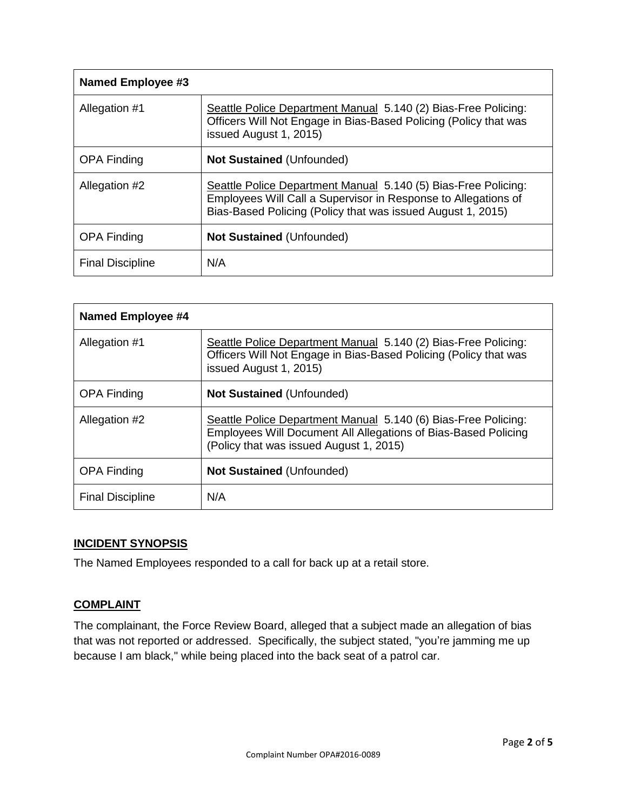| Named Employee #3       |                                                                                                                                                                                                 |
|-------------------------|-------------------------------------------------------------------------------------------------------------------------------------------------------------------------------------------------|
| Allegation #1           | Seattle Police Department Manual 5.140 (2) Bias-Free Policing:<br>Officers Will Not Engage in Bias-Based Policing (Policy that was<br>issued August 1, 2015)                                    |
| <b>OPA Finding</b>      | <b>Not Sustained (Unfounded)</b>                                                                                                                                                                |
| Allegation #2           | Seattle Police Department Manual 5.140 (5) Bias-Free Policing:<br>Employees Will Call a Supervisor in Response to Allegations of<br>Bias-Based Policing (Policy that was issued August 1, 2015) |
| <b>OPA Finding</b>      | <b>Not Sustained (Unfounded)</b>                                                                                                                                                                |
| <b>Final Discipline</b> | N/A                                                                                                                                                                                             |

| <b>Named Employee #4</b> |                                                                                                                                                                             |
|--------------------------|-----------------------------------------------------------------------------------------------------------------------------------------------------------------------------|
| Allegation #1            | Seattle Police Department Manual 5.140 (2) Bias-Free Policing:<br>Officers Will Not Engage in Bias-Based Policing (Policy that was<br>issued August 1, 2015)                |
| <b>OPA Finding</b>       | <b>Not Sustained (Unfounded)</b>                                                                                                                                            |
| Allegation #2            | Seattle Police Department Manual 5.140 (6) Bias-Free Policing:<br>Employees Will Document All Allegations of Bias-Based Policing<br>(Policy that was issued August 1, 2015) |
| <b>OPA Finding</b>       | <b>Not Sustained (Unfounded)</b>                                                                                                                                            |
| <b>Final Discipline</b>  | N/A                                                                                                                                                                         |

### **INCIDENT SYNOPSIS**

The Named Employees responded to a call for back up at a retail store.

### **COMPLAINT**

The complainant, the Force Review Board, alleged that a subject made an allegation of bias that was not reported or addressed. Specifically, the subject stated, "you're jamming me up because I am black," while being placed into the back seat of a patrol car.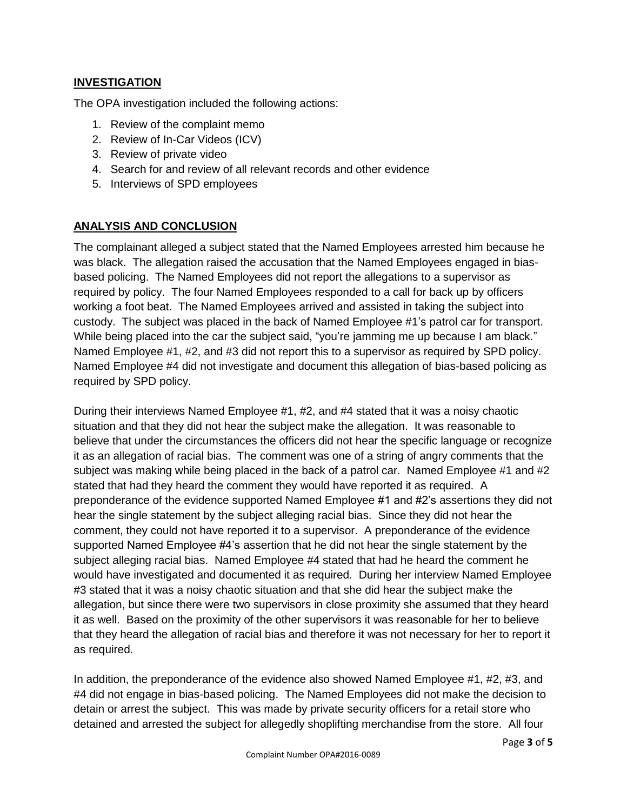#### **INVESTIGATION**

The OPA investigation included the following actions:

- 1. Review of the complaint memo
- 2. Review of In-Car Videos (ICV)
- 3. Review of private video
- 4. Search for and review of all relevant records and other evidence
- 5. Interviews of SPD employees

#### **ANALYSIS AND CONCLUSION**

The complainant alleged a subject stated that the Named Employees arrested him because he was black. The allegation raised the accusation that the Named Employees engaged in biasbased policing. The Named Employees did not report the allegations to a supervisor as required by policy. The four Named Employees responded to a call for back up by officers working a foot beat. The Named Employees arrived and assisted in taking the subject into custody. The subject was placed in the back of Named Employee #1's patrol car for transport. While being placed into the car the subject said, "you're jamming me up because I am black." Named Employee #1, #2, and #3 did not report this to a supervisor as required by SPD policy. Named Employee #4 did not investigate and document this allegation of bias-based policing as required by SPD policy.

During their interviews Named Employee #1, #2, and #4 stated that it was a noisy chaotic situation and that they did not hear the subject make the allegation. It was reasonable to believe that under the circumstances the officers did not hear the specific language or recognize it as an allegation of racial bias. The comment was one of a string of angry comments that the subject was making while being placed in the back of a patrol car. Named Employee #1 and #2 stated that had they heard the comment they would have reported it as required. A preponderance of the evidence supported Named Employee #1 and #2's assertions they did not hear the single statement by the subject alleging racial bias. Since they did not hear the comment, they could not have reported it to a supervisor. A preponderance of the evidence supported Named Employee #4's assertion that he did not hear the single statement by the subject alleging racial bias. Named Employee #4 stated that had he heard the comment he would have investigated and documented it as required. During her interview Named Employee #3 stated that it was a noisy chaotic situation and that she did hear the subject make the allegation, but since there were two supervisors in close proximity she assumed that they heard it as well. Based on the proximity of the other supervisors it was reasonable for her to believe that they heard the allegation of racial bias and therefore it was not necessary for her to report it as required.

In addition, the preponderance of the evidence also showed Named Employee #1, #2, #3, and #4 did not engage in bias-based policing. The Named Employees did not make the decision to detain or arrest the subject. This was made by private security officers for a retail store who detained and arrested the subject for allegedly shoplifting merchandise from the store. All four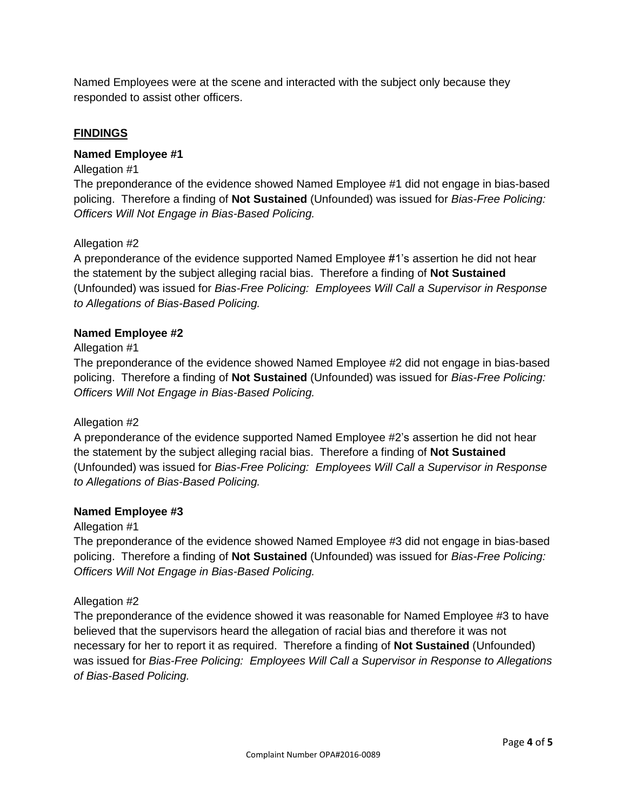Named Employees were at the scene and interacted with the subject only because they responded to assist other officers.

#### **FINDINGS**

#### **Named Employee #1**

#### Allegation #1

The preponderance of the evidence showed Named Employee #1 did not engage in bias-based policing. Therefore a finding of **Not Sustained** (Unfounded) was issued for *Bias-Free Policing: Officers Will Not Engage in Bias-Based Policing.*

#### Allegation #2

A preponderance of the evidence supported Named Employee #1's assertion he did not hear the statement by the subject alleging racial bias. Therefore a finding of **Not Sustained** (Unfounded) was issued for *Bias-Free Policing: Employees Will Call a Supervisor in Response to Allegations of Bias-Based Policing.*

#### **Named Employee #2**

#### Allegation #1

The preponderance of the evidence showed Named Employee #2 did not engage in bias-based policing. Therefore a finding of **Not Sustained** (Unfounded) was issued for *Bias-Free Policing: Officers Will Not Engage in Bias-Based Policing.*

#### Allegation #2

A preponderance of the evidence supported Named Employee #2's assertion he did not hear the statement by the subject alleging racial bias. Therefore a finding of **Not Sustained** (Unfounded) was issued for *Bias-Free Policing: Employees Will Call a Supervisor in Response to Allegations of Bias-Based Policing.*

#### **Named Employee #3**

#### Allegation #1

The preponderance of the evidence showed Named Employee #3 did not engage in bias-based policing. Therefore a finding of **Not Sustained** (Unfounded) was issued for *Bias-Free Policing: Officers Will Not Engage in Bias-Based Policing.*

#### Allegation #2

The preponderance of the evidence showed it was reasonable for Named Employee #3 to have believed that the supervisors heard the allegation of racial bias and therefore it was not necessary for her to report it as required. Therefore a finding of **Not Sustained** (Unfounded) was issued for *Bias-Free Policing: Employees Will Call a Supervisor in Response to Allegations of Bias-Based Policing.*